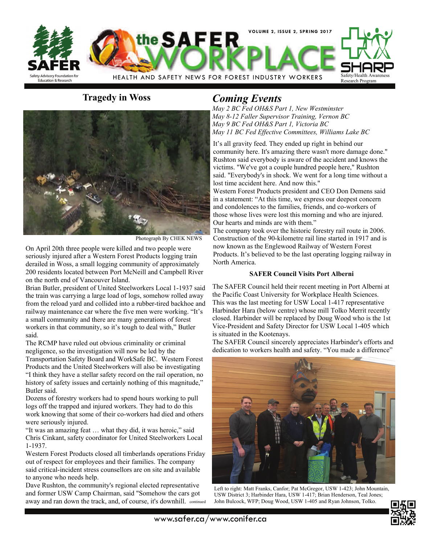



Photograph By CHEK NEWS

On April 20th three people were killed and two people were seriously injured after a Western Forest Products logging train derailed in Woss, a small logging community of approximately 200 residents located between Port McNeill and Campbell River on the north end of Vancouver Island.

Brian Butler, president of United Steelworkers Local 1-1937 said the train was carrying a large load of logs, somehow rolled away from the reload yard and collided into a rubber-tired backhoe and railway maintenance car where the five men were working. "It's a small community and there are many generations of forest workers in that community, so it's tough to deal with," Butler said.

The RCMP have ruled out obvious criminality or criminal negligence, so the investigation will now be led by the Transportation Safety Board and WorkSafe BC. Western Forest Products and the United Steelworkers will also be investigating "I think they have a stellar safety record on the rail operation, no history of safety issues and certainly nothing of this magnitude." Butler said.

Dozens of forestry workers had to spend hours working to pull logs off the trapped and injured workers. They had to do this work knowing that some of their co-workers had died and others were seriously injured.

"It was an amazing feat … what they did, it was heroic," said Chris Cinkant, safety coordinator for United Steelworkers Local 1-1937.

Western Forest Products closed all timberlands operations Friday out of respect for employees and their families. The company said critical-incident stress counsellors are on site and available to anyone who needs help.

Dave Rushton, the community's regional elected representative and former USW Camp Chairman, said "Somehow the cars got away and ran down the track, and, of course, it's downhill. continued

## **Tragedy in Woss** *Coming Events*

*May 2 BC Fed OH&S Part 1, New Westminster May 8-12 Faller Supervisor Training, Vernon BC May 9 BC Fed OH&S Part 1, Victoria BC May 11 BC Fed Effective Committees, Williams Lake BC* 

It's all gravity feed. They ended up right in behind our community here. It's amazing there wasn't more damage done." Rushton said everybody is aware of the accident and knows the victims. "We've got a couple hundred people here," Rushton said. "Everybody's in shock. We went for a long time without a lost time accident here. And now this."

Western Forest Products president and CEO Don Demens said in a statement: "At this time, we express our deepest concern and condolences to the families, friends, and co-workers of those whose lives were lost this morning and who are injured. Our hearts and minds are with them."

The company took over the historic forestry rail route in 2006. Construction of the 90-kilometre rail line started in 1917 and is now known as the Englewood Railway of Western Forest Products. It's believed to be the last operating logging railway in North America.

### **SAFER Council Visits Port Alberni**

The SAFER Council held their recent meeting in Port Alberni at the Pacific Coast University for Workplace Health Sciences. This was the last meeting for USW Local 1-417 representative Harbinder Hara (below centre) whose mill Tolko Merrit recently closed. Harbinder will be replaced by Doug Wood who is the 1st Vice-President and Safety Director for USW Local 1-405 which is situated in the Kootenays.

The SAFER Council sincerely appreciates Harbinder's efforts and dedication to workers health and safety. "You made a difference"



Left to right: Matt Franks, Canfor; Pat McGregor, USW 1-423; John Mountain, USW District 3; Harbinder Hara, USW 1-417; Brian Henderson, Teal Jones; John Bulcock, WFP; Doug Wood, USW 1-405 and Ryan Johnson, Tolko.